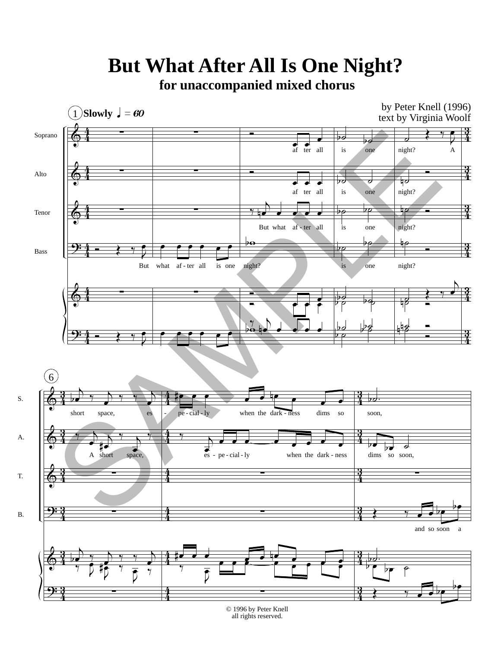## **But What After All Is One Night?**

**for unaccompanied mixed chorus**



<sup>© 1996</sup> by Peter Knell all rights reserved.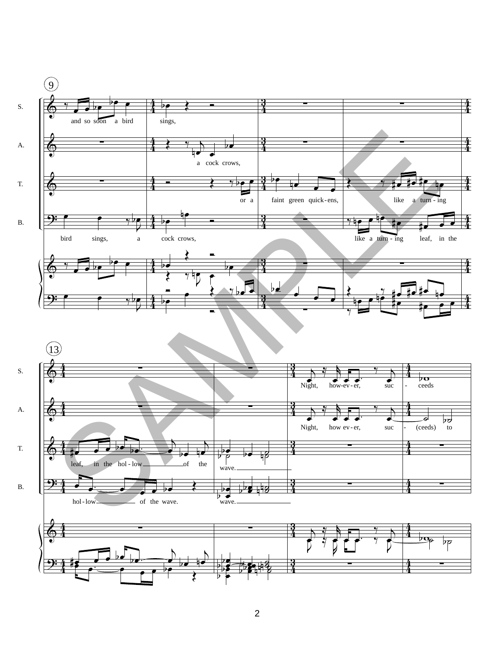

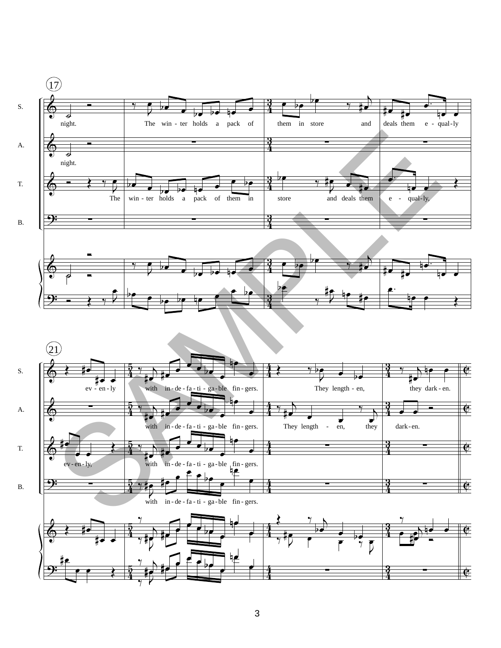

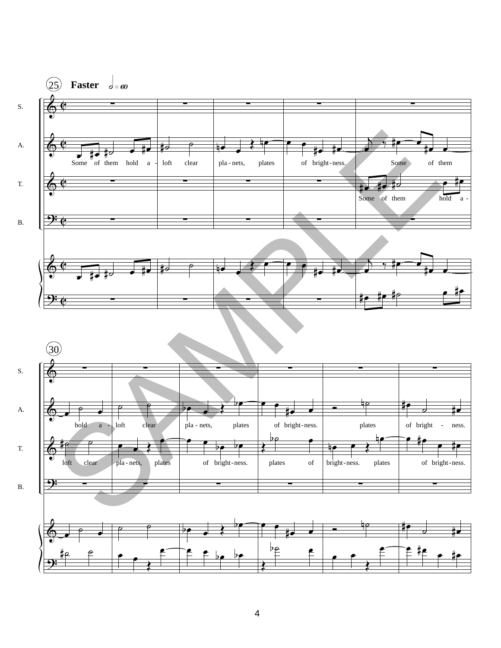

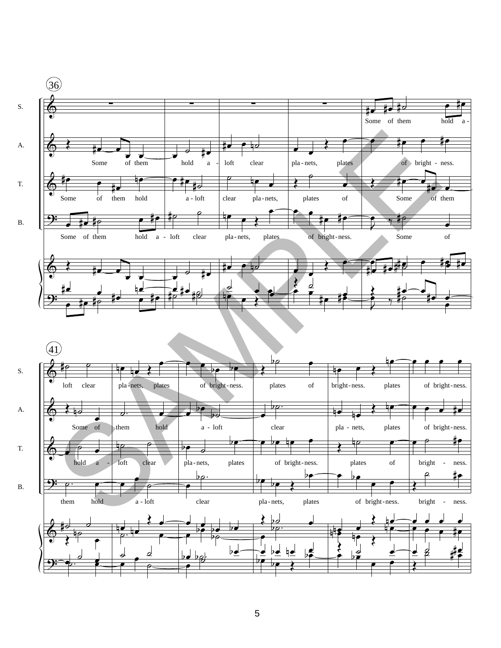

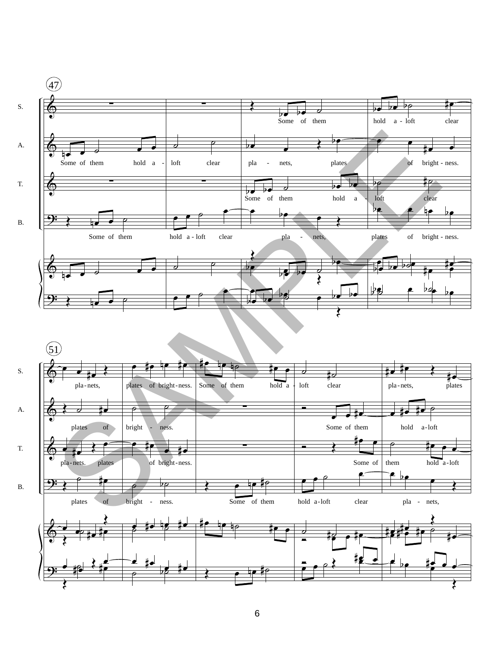

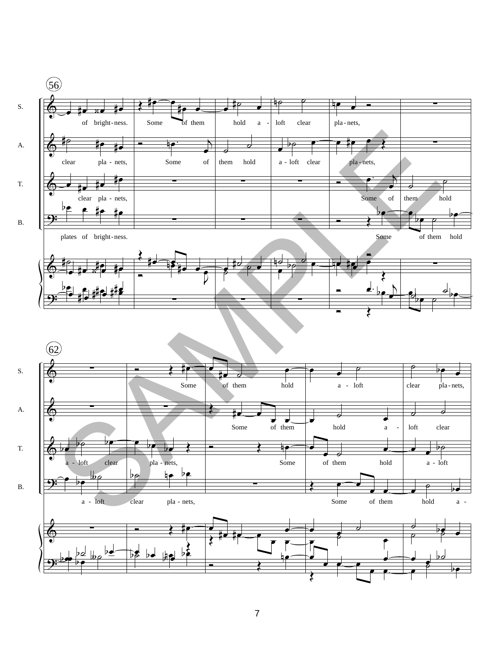

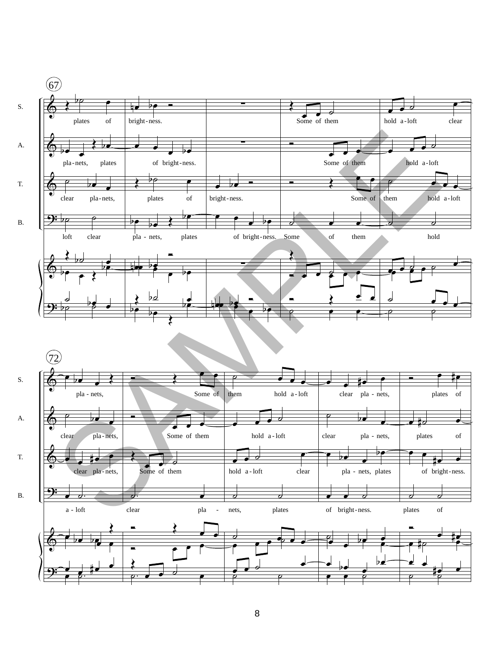



8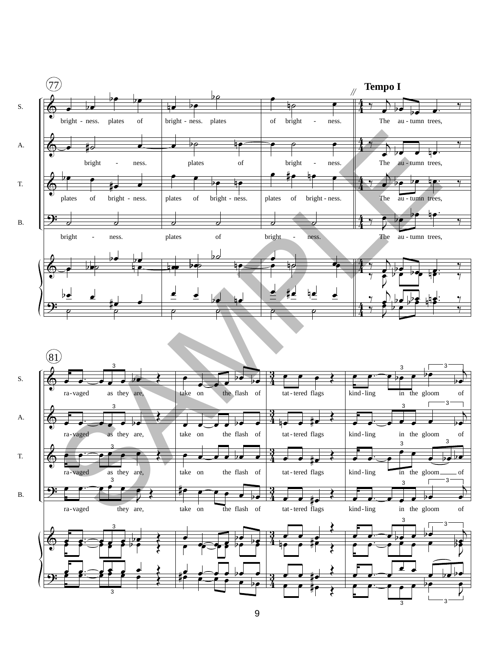



9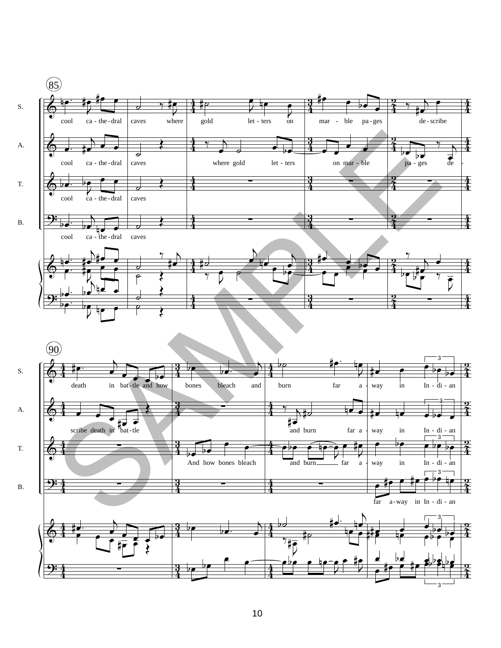

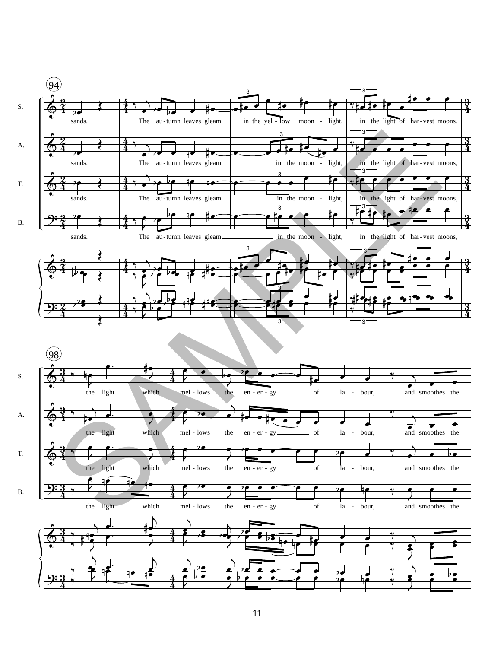



11